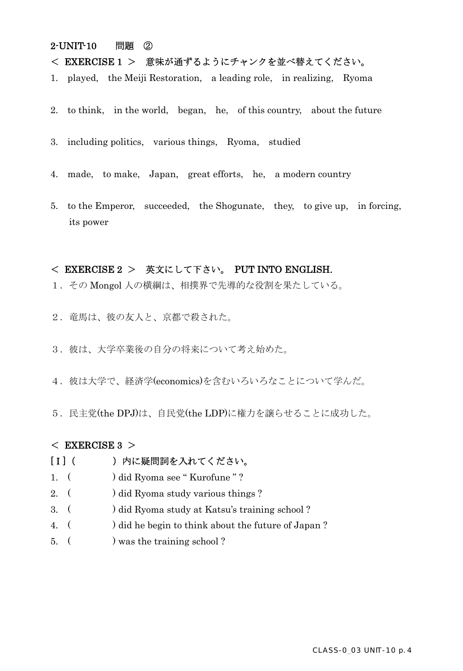### 2-UNIT-10 問題 ②

# < EXERCISE 1 > 意味が通ずるようにチャンクを並べ替えてください。

- 1. played, the Meiji Restoration, a leading role, in realizing, Ryoma
- 2. to think, in the world, began, he, of this country, about the future
- 3. including politics, various things, Ryoma, studied
- 4. made, to make, Japan, great efforts, he, a modern country
- 5. to the Emperor, succeeded, the Shogunate, they, to give up, in forcing, its power

### < EXERCISE 2 > 英文にして下さい。 PUT INTO ENGLISH.

- 1.その Mongol 人の横綱は、相撲界で先導的な役割を果たしている。
- 2. 竜馬は、彼の友人と、京都で殺された。
- 3. 彼は、大学卒業後の自分の将来について考え始めた。
- 4. 彼は大学で、経済学(economics)を含むいろいろなことについて学んだ。
- 5. 民主党(the DPJ)は、自民党(the LDP)に権力を譲らせることに成功した。

### $<$  EXERCISE 3  $>$

## [I] ( ) 内に疑問詞を入れてください。

- 1. ( ) did Ryoma see "Kurofune"?
- 2. ( ) did Ryoma study various things ?
- 3. ( ) did Ryoma study at Katsu's training school ?
- 4. ( ) did he begin to think about the future of Japan ?
- 5. ( ) was the training school ?